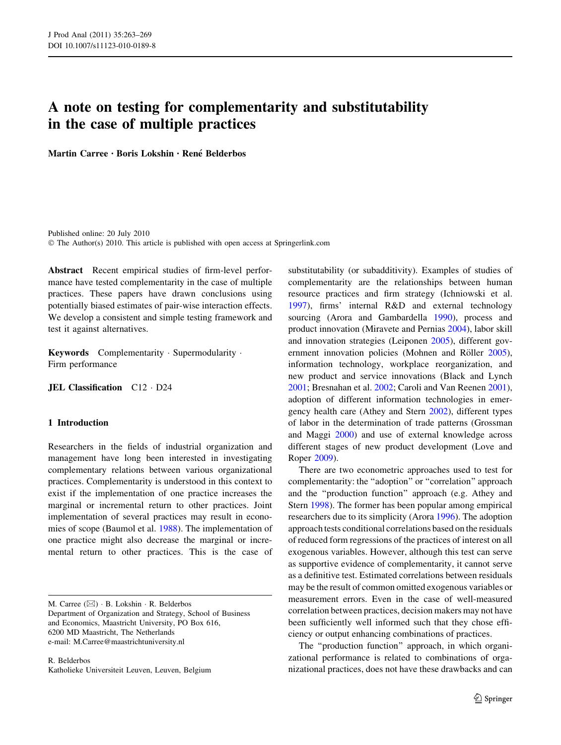# A note on testing for complementarity and substitutability in the case of multiple practices

Martin Carree · Boris Lokshin · René Belderbos

Published online: 20 July 2010 © The Author(s) 2010. This article is published with open access at Springerlink.com

Abstract Recent empirical studies of firm-level performance have tested complementarity in the case of multiple practices. These papers have drawn conclusions using potentially biased estimates of pair-wise interaction effects. We develop a consistent and simple testing framework and test it against alternatives.

Keywords Complementarity · Supermodularity · Firm performance

JEL Classification C12 - D24

# 1 Introduction

Researchers in the fields of industrial organization and management have long been interested in investigating complementary relations between various organizational practices. Complementarity is understood in this context to exist if the implementation of one practice increases the marginal or incremental return to other practices. Joint implementation of several practices may result in economies of scope (Baumol et al. [1988\)](#page-6-0). The implementation of one practice might also decrease the marginal or incremental return to other practices. This is the case of

M. Carree  $(\boxtimes) \cdot B$ . Lokshin  $\cdot R$ . Belderbos Department of Organization and Strategy, School of Business and Economics, Maastricht University, PO Box 616, 6200 MD Maastricht, The Netherlands e-mail: M.Carree@maastrichtuniversity.nl

R. Belderbos Katholieke Universiteit Leuven, Leuven, Belgium substitutability (or subadditivity). Examples of studies of complementarity are the relationships between human resource practices and firm strategy (Ichniowski et al. [1997](#page-6-0)), firms' internal R&D and external technology sourcing (Arora and Gambardella [1990](#page-6-0)), process and product innovation (Miravete and Pernias [2004\)](#page-6-0), labor skill and innovation strategies (Leiponen [2005\)](#page-6-0), different gov-ernment innovation policies (Mohnen and Röller [2005](#page-6-0)), information technology, workplace reorganization, and new product and service innovations (Black and Lynch [2001](#page-6-0); Bresnahan et al. [2002;](#page-6-0) Caroli and Van Reenen [2001](#page-6-0)), adoption of different information technologies in emergency health care (Athey and Stern [2002\)](#page-6-0), different types of labor in the determination of trade patterns (Grossman and Maggi [2000\)](#page-6-0) and use of external knowledge across different stages of new product development (Love and Roper [2009\)](#page-6-0).

There are two econometric approaches used to test for complementarity: the ''adoption'' or ''correlation'' approach and the ''production function'' approach (e.g. Athey and Stern [1998\)](#page-6-0). The former has been popular among empirical researchers due to its simplicity (Arora [1996](#page-6-0)). The adoption approach tests conditional correlations based on the residuals of reduced form regressions of the practices of interest on all exogenous variables. However, although this test can serve as supportive evidence of complementarity, it cannot serve as a definitive test. Estimated correlations between residuals may be the result of common omitted exogenous variables or measurement errors. Even in the case of well-measured correlation between practices, decision makers may not have been sufficiently well informed such that they chose efficiency or output enhancing combinations of practices.

The ''production function'' approach, in which organizational performance is related to combinations of organizational practices, does not have these drawbacks and can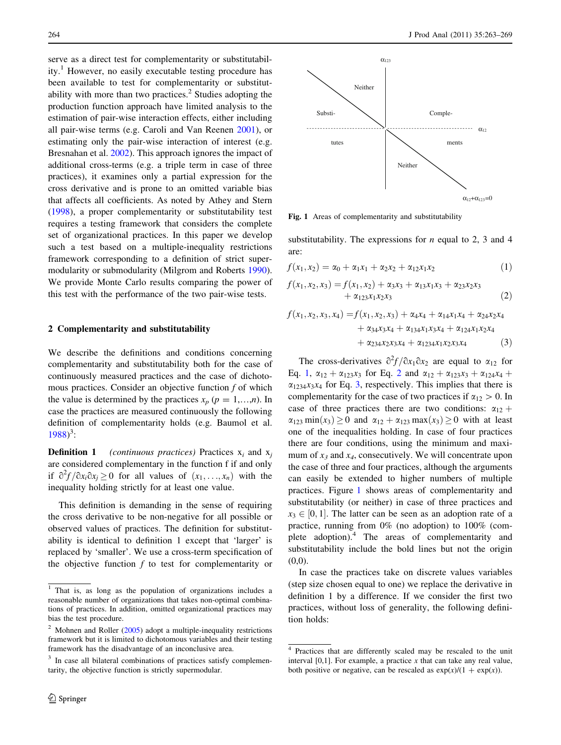<span id="page-1-0"></span>serve as a direct test for complementarity or substitutability.<sup>1</sup> However, no easily executable testing procedure has been available to test for complementarity or substitutability with more than two practices.<sup>2</sup> Studies adopting the production function approach have limited analysis to the estimation of pair-wise interaction effects, either including all pair-wise terms (e.g. Caroli and Van Reenen [2001\)](#page-6-0), or estimating only the pair-wise interaction of interest (e.g. Bresnahan et al. [2002](#page-6-0)). This approach ignores the impact of additional cross-terms (e.g. a triple term in case of three practices), it examines only a partial expression for the cross derivative and is prone to an omitted variable bias that affects all coefficients. As noted by Athey and Stern [\(1998](#page-6-0)), a proper complementarity or substitutability test requires a testing framework that considers the complete set of organizational practices. In this paper we develop such a test based on a multiple-inequality restrictions framework corresponding to a definition of strict supermodularity or submodularity (Milgrom and Roberts [1990](#page-6-0)). We provide Monte Carlo results comparing the power of this test with the performance of the two pair-wise tests.

## 2 Complementarity and substitutability

We describe the definitions and conditions concerning complementarity and substitutability both for the case of continuously measured practices and the case of dichotomous practices. Consider an objective function  $f$  of which the value is determined by the practices  $x_p$  ( $p = 1,...,n$ ). In case the practices are measured continuously the following definition of complementarity holds (e.g. Baumol et al. [1988\)](#page-6-0)<sup>3</sup>:

**Definition 1** (continuous practices) Practices  $x_i$  and  $x_j$ are considered complementary in the function f if and only if  $\frac{\partial^2 f}{\partial x_i \partial x_j} \ge 0$  for all values of  $(x_1, \ldots, x_n)$  with the inequality holding strictly for at least one value.

This definition is demanding in the sense of requiring the cross derivative to be non-negative for all possible or observed values of practices. The definition for substitutability is identical to definition 1 except that 'larger' is replaced by 'smaller'. We use a cross-term specification of the objective function  $f$  to test for complementarity or



Fig. 1 Areas of complementarity and substitutability

substitutability. The expressions for  $n$  equal to 2, 3 and 4 are:

$$
f(x_1, x_2) = \alpha_0 + \alpha_1 x_1 + \alpha_2 x_2 + \alpha_{12} x_1 x_2 \tag{1}
$$

$$
f(x_1, x_2, x_3) = f(x_1, x_2) + \alpha_3 x_3 + \alpha_{13} x_1 x_3 + \alpha_{23} x_2 x_3 + \alpha_{123} x_1 x_2 x_3
$$
 (2)

$$
f(x_1, x_2, x_3, x_4) = f(x_1, x_2, x_3) + \alpha_4 x_4 + \alpha_{14} x_1 x_4 + \alpha_{24} x_2 x_4 + \alpha_{34} x_3 x_4 + \alpha_{134} x_1 x_3 x_4 + \alpha_{124} x_1 x_2 x_4 + \alpha_{234} x_2 x_3 x_4 + \alpha_{1234} x_1 x_2 x_3 x_4
$$
 (3)

The cross-derivatives  $\frac{\partial^2 f}{\partial x_1 \partial x_2}$  are equal to  $\alpha_{12}$  for Eq. 1,  $\alpha_{12} + \alpha_{123}x_3$  for Eq. 2 and  $\alpha_{12} + \alpha_{123}x_3 + \alpha_{124}x_4 + \alpha_{125}x_4$  $\alpha_{1234}x_3x_4$  for Eq. 3, respectively. This implies that there is complementarity for the case of two practices if  $\alpha_{12} > 0$ . In case of three practices there are two conditions:  $\alpha_{12}$  +  $\alpha_{123}$  min $(x_3) \ge 0$  and  $\alpha_{12} + \alpha_{123}$  max $(x_3) \ge 0$  with at least one of the inequalities holding. In case of four practices there are four conditions, using the minimum and maximum of  $x_3$  and  $x_4$ , consecutively. We will concentrate upon the case of three and four practices, although the arguments can easily be extended to higher numbers of multiple practices. Figure 1 shows areas of complementarity and substitutability (or neither) in case of three practices and  $x_3 \in [0, 1]$ . The latter can be seen as an adoption rate of a practice, running from 0% (no adoption) to 100% (complete adoption).<sup>4</sup> The areas of complementarity and substitutability include the bold lines but not the origin  $(0,0).$ 

In case the practices take on discrete values variables (step size chosen equal to one) we replace the derivative in definition 1 by a difference. If we consider the first two practices, without loss of generality, the following definition holds:

<sup>1</sup> That is, as long as the population of organizations includes a reasonable number of organizations that takes non-optimal combinations of practices. In addition, omitted organizational practices may bias the test procedure.

 $2$  Mohnen and Roller ([2005\)](#page-6-0) adopt a multiple-inequality restrictions framework but it is limited to dichotomous variables and their testing framework has the disadvantage of an inconclusive area.

<sup>&</sup>lt;sup>3</sup> In case all bilateral combinations of practices satisfy complementarity, the objective function is strictly supermodular.

<sup>4</sup> Practices that are differently scaled may be rescaled to the unit interval  $[0,1]$ . For example, a practice x that can take any real value, both positive or negative, can be rescaled as  $\exp(x)/(1 + \exp(x))$ .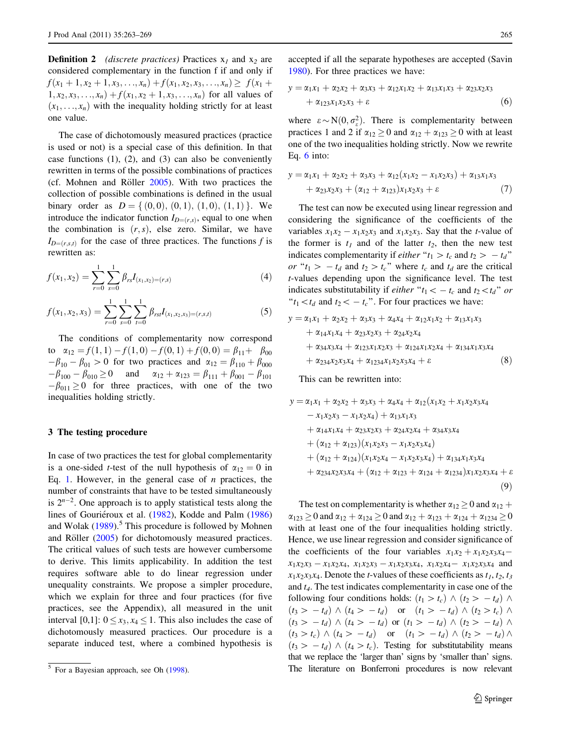<span id="page-2-0"></span>**Definition 2** (discrete practices) Practices  $x_1$  and  $x_2$  are considered complementary in the function f if and only if  $f(x_1 + 1, x_2 + 1, x_3, \ldots, x_n) + f(x_1, x_2, x_3, \ldots, x_n) \geq f(x_1 +$  $1, x_2, x_3, \ldots, x_n) + f(x_1, x_2 + 1, x_3, \ldots, x_n)$  for all values of  $(x_1, \ldots, x_n)$  with the inequality holding strictly for at least one value.

The case of dichotomously measured practices (practice is used or not) is a special case of this definition. In that case functions (1), (2), and (3) can also be conveniently rewritten in terms of the possible combinations of practices (cf. Mohnen and Röller  $2005$ ). With two practices the collection of possible combinations is defined in the usual binary order as  $D = \{(0,0), (0,1), (1,0), (1,1)\}\.$  We introduce the indicator function  $I_{D=(r,s)}$ , equal to one when the combination is  $(r, s)$ , else zero. Similar, we have  $I_{D=(r,s,t)}$  for the case of three practices. The functions f is rewritten as:

$$
f(x_1, x_2) = \sum_{r=0}^{1} \sum_{s=0}^{1} \beta_{rs} I_{(x_1, x_2) = (r, s)}
$$
(4)

$$
f(x_1, x_2, x_3) = \sum_{r=0}^{1} \sum_{s=0}^{1} \sum_{t=0}^{1} \beta_{rs} I_{(x_1, x_2, x_3) = (r, s, t)}
$$
(5)

The conditions of complementarity now correspond to  $\alpha_{12} = f(1, 1) - f(1, 0) - f(0, 1) + f(0, 0) = \beta_{11} + \beta_{00}$  $-\beta_{10} - \beta_{01} > 0$  for two practices and  $\alpha_{12} = \beta_{110} + \beta_{000}$  $-\beta_{100} - \beta_{010} \ge 0$  and  $\alpha_{12} + \alpha_{123} = \beta_{111} + \beta_{001} - \beta_{101}$  $-\beta_{011} \ge 0$  for three practices, with one of the two inequalities holding strictly.

## 3 The testing procedure

In case of two practices the test for global complementarity is a one-sided *t*-test of the null hypothesis of  $\alpha_{12} = 0$  in Eq. [1](#page-1-0). However, in the general case of  $n$  practices, the number of constraints that have to be tested simultaneously is  $2^{n-2}$ . One approach is to apply statistical tests along the lines of Gouriéroux et al. ([1982\)](#page-6-0), Kodde and Palm ([1986\)](#page-6-0) and Wolak  $(1989)$  $(1989)$ <sup>3</sup>. This procedure is followed by Mohnen and Röller  $(2005)$  $(2005)$  for dichotomously measured practices. The critical values of such tests are however cumbersome to derive. This limits applicability. In addition the test requires software able to do linear regression under unequality constraints. We propose a simpler procedure, which we explain for three and four practices (for five practices, see the Appendix), all measured in the unit interval [0,1]:  $0 \le x_3, x_4 \le 1$ . This also includes the case of dichotomously measured practices. Our procedure is a separate induced test, where a combined hypothesis is accepted if all the separate hypotheses are accepted (Savin [1980](#page-6-0)). For three practices we have:

$$
y = \alpha_1 x_1 + \alpha_2 x_2 + \alpha_3 x_3 + \alpha_{12} x_1 x_2 + \alpha_{13} x_1 x_3 + \alpha_{23} x_2 x_3 + \alpha_{123} x_1 x_2 x_3 + \varepsilon
$$
 (6)

where  $\varepsilon \sim N(0, \sigma_{\varepsilon}^2)$ . There is complementarity between practices 1 and 2 if  $\alpha_{12} \ge 0$  and  $\alpha_{12} + \alpha_{123} \ge 0$  with at least one of the two inequalities holding strictly. Now we rewrite Eq. 6 into:

$$
y = \alpha_1 x_1 + \alpha_2 x_2 + \alpha_3 x_3 + \alpha_{12} (x_1 x_2 - x_1 x_2 x_3) + \alpha_{13} x_1 x_3 + \alpha_{23} x_2 x_3 + (\alpha_{12} + \alpha_{123}) x_1 x_2 x_3 + \varepsilon
$$
 (7)

The test can now be executed using linear regression and considering the significance of the coefficients of the variables  $x_1x_2 - x_1x_2x_3$  and  $x_1x_2x_3$ . Say that the *t*-value of the former is  $t_1$  and of the latter  $t_2$ , then the new test indicates complementarity if *either* " $t_1 > t_c$  and  $t_2 > -t_d$ " or " $t_1 > -t_d$  and  $t_2 > t_c$ " where  $t_c$  and  $t_d$  are the critical t-values depending upon the significance level. The test indicates substitutability if *either* " $t_1 \lt -t_c$  and  $t_2 \lt t_d$ " or " $t_1 \lt t_d$  and  $t_2 \lt -t_c$ ". For four practices we have:

$$
y = \alpha_1 x_1 + \alpha_2 x_2 + \alpha_3 x_3 + \alpha_4 x_4 + \alpha_{12} x_1 x_2 + \alpha_{13} x_1 x_3
$$
  
+  $\alpha_{14} x_1 x_4 + \alpha_{23} x_2 x_3 + \alpha_{24} x_2 x_4$   
+  $\alpha_{34} x_3 x_4 + \alpha_{123} x_1 x_2 x_3 + \alpha_{124} x_1 x_2 x_4 + \alpha_{134} x_1 x_3 x_4$   
+  $\alpha_{234} x_2 x_3 x_4 + \alpha_{1234} x_1 x_2 x_3 x_4 + \varepsilon$  (8)

This can be rewritten into:

$$
y = \alpha_1 x_1 + \alpha_2 x_2 + \alpha_3 x_3 + \alpha_4 x_4 + \alpha_{12} (x_1 x_2 + x_1 x_2 x_3 x_4 - x_1 x_2 x_3 - x_1 x_2 x_4) + \alpha_{13} x_1 x_3 + \alpha_{14} x_1 x_4 + \alpha_{23} x_2 x_3 + \alpha_{24} x_2 x_4 + \alpha_{34} x_3 x_4 + (\alpha_{12} + \alpha_{123}) (x_1 x_2 x_3 - x_1 x_2 x_3 x_4) + (\alpha_{12} + \alpha_{124}) (x_1 x_2 x_4 - x_1 x_2 x_3 x_4) + \alpha_{134} x_1 x_3 x_4 + \alpha_{234} x_2 x_3 x_4 + (\alpha_{12} + \alpha_{123} + \alpha_{124} + \alpha_{1234}) x_1 x_2 x_3 x_4 + \varepsilon
$$
\n(9)

The test on complementarity is whether  $\alpha_{12} \ge 0$  and  $\alpha_{12}$  +  $\alpha_{123} \ge 0$  and  $\alpha_{12} + \alpha_{124} \ge 0$  and  $\alpha_{12} + \alpha_{123} + \alpha_{124} + \alpha_{1234} \ge 0$ with at least one of the four inequalities holding strictly. Hence, we use linear regression and consider significance of the coefficients of the four variables  $x_1x_2 + x_1x_2x_3x_4$  $x_1x_2x_3 - x_1x_2x_4$ ,  $x_1x_2x_3 - x_1x_2x_3x_4$ ,  $x_1x_2x_4 - x_1x_2x_3x_4$  and  $x_1x_2x_3x_4$ . Denote the *t*-values of these coefficients as  $t_1, t_2, t_3$ and  $t_4$ . The test indicates complementarity in case one of the following four conditions holds:  $(t_1 > t_c) \wedge (t_2 > -t_d) \wedge$  $(t_3 > -t_d) \wedge (t_4 > -t_d)$  or  $(t_1 > -t_d) \wedge (t_2 > t_c) \wedge$  $(t_3 > -t_d) \wedge (t_4 > -t_d)$  or  $(t_1 > -t_d) \wedge (t_2 > -t_d)$  $(t_3 > t_c) \wedge (t_4 > -t_d)$  or  $(t_1 > -t_d) \wedge (t_2 > -t_d) \wedge$  $(t_3 > -t_d) \wedge (t_4 > t_c)$ . Testing for substitutability means that we replace the 'larger than' signs by 'smaller than' signs. <sup>5</sup> For a Bayesian approach, see Oh [\(1998](#page-6-0)). The literature on Bonferroni procedures is now relevant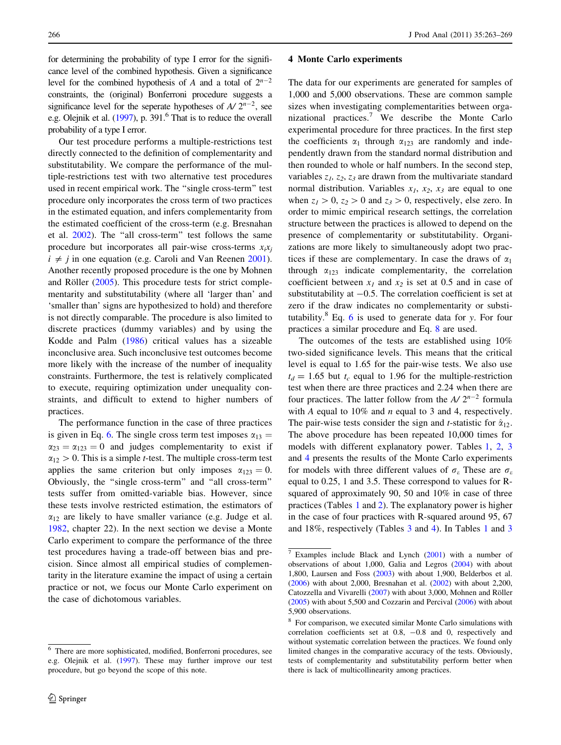for determining the probability of type I error for the significance level of the combined hypothesis. Given a significance level for the combined hypothesis of A and a total of  $2^{n-2}$ constraints, the (original) Bonferroni procedure suggests a significance level for the seperate hypotheses of  $A/2^{n-2}$ , see e.g. Olejnik et al. [\(1997](#page-6-0)), p. 391.<sup>6</sup> That is to reduce the overall probability of a type I error.

Our test procedure performs a multiple-restrictions test directly connected to the definition of complementarity and substitutability. We compare the performance of the multiple-restrictions test with two alternative test procedures used in recent empirical work. The ''single cross-term'' test procedure only incorporates the cross term of two practices in the estimated equation, and infers complementarity from the estimated coefficient of the cross-term (e.g. Bresnahan et al. [2002\)](#page-6-0). The ''all cross-term'' test follows the same procedure but incorporates all pair-wise cross-terms  $x_i x_j$  $i \neq j$  in one equation (e.g. Caroli and Van Reenen [2001](#page-6-0)). Another recently proposed procedure is the one by Mohnen and Röller  $(2005)$  $(2005)$ . This procedure tests for strict complementarity and substitutability (where all 'larger than' and 'smaller than' signs are hypothesized to hold) and therefore is not directly comparable. The procedure is also limited to discrete practices (dummy variables) and by using the Kodde and Palm [\(1986](#page-6-0)) critical values has a sizeable inconclusive area. Such inconclusive test outcomes become more likely with the increase of the number of inequality constraints. Furthermore, the test is relatively complicated to execute, requiring optimization under unequality constraints, and difficult to extend to higher numbers of practices.

The performance function in the case of three practices is given in Eq. [6](#page-2-0). The single cross term test imposes  $\alpha_{13} =$  $\alpha_{23} = \alpha_{123} = 0$  and judges complementarity to exist if  $\alpha_{12} > 0$ . This is a simple *t*-test. The multiple cross-term test applies the same criterion but only imposes  $\alpha_{123} = 0$ . Obviously, the ''single cross-term'' and ''all cross-term'' tests suffer from omitted-variable bias. However, since these tests involve restricted estimation, the estimators of  $\alpha_{12}$  are likely to have smaller variance (e.g. Judge et al. [1982,](#page-6-0) chapter 22). In the next section we devise a Monte Carlo experiment to compare the performance of the three test procedures having a trade-off between bias and precision. Since almost all empirical studies of complementarity in the literature examine the impact of using a certain practice or not, we focus our Monte Carlo experiment on the case of dichotomous variables.

#### 4 Monte Carlo experiments

The data for our experiments are generated for samples of 1,000 and 5,000 observations. These are common sample sizes when investigating complementarities between organizational practices.<sup>7</sup> We describe the Monte Carlo experimental procedure for three practices. In the first step the coefficients  $\alpha_1$  through  $\alpha_{123}$  are randomly and independently drawn from the standard normal distribution and then rounded to whole or half numbers. In the second step, variables  $z_1$ ,  $z_2$ ,  $z_3$  are drawn from the multivariate standard normal distribution. Variables  $x_1$ ,  $x_2$ ,  $x_3$  are equal to one when  $z_1>0$ ,  $z_2>0$  and  $z_3>0$ , respectively, else zero. In order to mimic empirical research settings, the correlation structure between the practices is allowed to depend on the presence of complementarity or substitutability. Organizations are more likely to simultaneously adopt two practices if these are complementary. In case the draws of  $\alpha_1$ through  $\alpha_{123}$  indicate complementarity, the correlation coefficient between  $x_1$  and  $x_2$  is set at 0.5 and in case of substitutability at  $-0.5$ . The correlation coefficient is set at zero if the draw indicates no complementarity or substitutability. $8$  Eq. [6](#page-2-0) is used to generate data for y. For four practices a similar procedure and Eq. [8](#page-2-0) are used.

The outcomes of the tests are established using 10% two-sided significance levels. This means that the critical level is equal to 1.65 for the pair-wise tests. We also use  $t_d = 1.65$  but  $t_c$  equal to 1.96 for the multiple-restriction test when there are three practices and 2.24 when there are four practices. The latter follow from the  $A/2^{n-2}$  formula with A equal to  $10\%$  and n equal to 3 and 4, respectively. The pair-wise tests consider the sign and *t*-statistic for  $\hat{\alpha}_{12}$ . The above procedure has been repeated 10,000 times for models with different explanatory power. Tables [1](#page-4-0), [2](#page-4-0), [3](#page-5-0) and [4](#page-5-0) presents the results of the Monte Carlo experiments for models with three different values of  $\sigma_{\varepsilon}$  These are  $\sigma_{\varepsilon}$ equal to 0.25, 1 and 3.5. These correspond to values for Rsquared of approximately 90, 50 and 10% in case of three practices (Tables [1](#page-4-0) and [2\)](#page-4-0). The explanatory power is higher in the case of four practices with R-squared around 95, 67 and 18%, respectively (Tables [3](#page-5-0) and [4](#page-5-0)). In Tables [1](#page-4-0) and [3](#page-5-0)

<sup>6</sup> There are more sophisticated, modified, Bonferroni procedures, see e.g. Olejnik et al. ([1997\)](#page-6-0). These may further improve our test procedure, but go beyond the scope of this note.

<sup>7</sup> Examples include Black and Lynch [\(2001](#page-6-0)) with a number of observations of about 1,000, Galia and Legros [\(2004](#page-6-0)) with about 1,800, Laursen and Foss [\(2003](#page-6-0)) with about 1,900, Belderbos et al. ([2006\)](#page-6-0) with about 2,000, Bresnahan et al. ([2002\)](#page-6-0) with about 2,200, Catozzella and Vivarelli [\(2007](#page-6-0)) with about 3,000, Mohnen and Röller ([2005\)](#page-6-0) with about 5,500 and Cozzarin and Percival ([2006\)](#page-6-0) with about 5,900 observations.

<sup>8</sup> For comparison, we executed similar Monte Carlo simulations with correlation coefficients set at 0.8, -0.8 and 0, respectively and without systematic correlation between the practices. We found only limited changes in the comparative accuracy of the tests. Obviously, tests of complementarity and substitutability perform better when there is lack of multicollinearity among practices.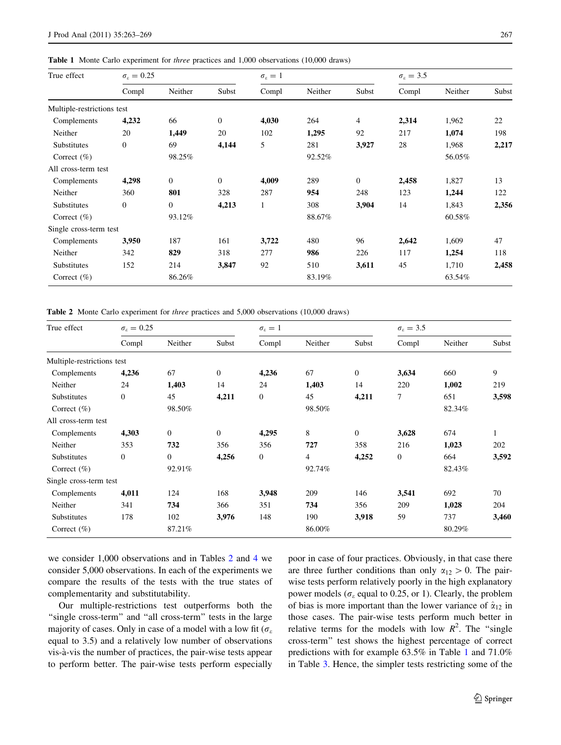<span id="page-4-0"></span>Table 1 Monte Carlo experiment for three practices and 1,000 observations (10,000 draws)

| True effect                | $\sigma_{\varepsilon} = 0.25$ |                |              | $\sigma_{\varepsilon}=1$ |         |                | $\sigma_{\rm s}=3.5$ |         |       |
|----------------------------|-------------------------------|----------------|--------------|--------------------------|---------|----------------|----------------------|---------|-------|
|                            | Compl                         | Neither        | Subst        | Compl                    | Neither | Subst          | Compl                | Neither | Subst |
| Multiple-restrictions test |                               |                |              |                          |         |                |                      |         |       |
| Complements                | 4,232                         | 66             | $\mathbf{0}$ | 4,030                    | 264     | $\overline{4}$ | 2,314                | 1,962   | 22    |
| Neither                    | 20                            | 1,449          | 20           | 102                      | 1,295   | 92             | 217                  | 1,074   | 198   |
| Substitutes                | $\mathbf{0}$                  | 69             | 4,144        | 5                        | 281     | 3,927          | 28                   | 1,968   | 2,217 |
| Correct $(\%)$             |                               | 98.25%         |              |                          | 92.52%  |                |                      | 56.05%  |       |
| All cross-term test        |                               |                |              |                          |         |                |                      |         |       |
| Complements                | 4,298                         | $\overline{0}$ | $\mathbf{0}$ | 4,009                    | 289     | $\theta$       | 2,458                | 1,827   | 13    |
| Neither                    | 360                           | 801            | 328          | 287                      | 954     | 248            | 123                  | 1,244   | 122   |
| Substitutes                | $\mathbf{0}$                  | $\overline{0}$ | 4,213        | $\mathbf{1}$             | 308     | 3,904          | 14                   | 1,843   | 2,356 |
| Correct $(\% )$            |                               | 93.12%         |              |                          | 88.67%  |                |                      | 60.58%  |       |
| Single cross-term test     |                               |                |              |                          |         |                |                      |         |       |
| Complements                | 3,950                         | 187            | 161          | 3,722                    | 480     | 96             | 2,642                | 1,609   | 47    |
| Neither                    | 342                           | 829            | 318          | 277                      | 986     | 226            | 117                  | 1,254   | 118   |
| Substitutes                | 152                           | 214            | 3,847        | 92                       | 510     | 3,611          | 45                   | 1,710   | 2,458 |
| Correct $(\%)$             |                               | 86.26%         |              |                          | 83.19%  |                |                      | 63.54%  |       |

Table 2 Monte Carlo experiment for three practices and 5,000 observations (10,000 draws)

| True effect                | $\sigma_{\varepsilon}=0.25$ |                |              | $\sigma_{\varepsilon}=1$ |         |              | $\sigma_{\varepsilon} = 3.5$ |         |       |
|----------------------------|-----------------------------|----------------|--------------|--------------------------|---------|--------------|------------------------------|---------|-------|
|                            | Compl                       | Neither        | Subst        | Compl                    | Neither | Subst        | Compl                        | Neither | Subst |
| Multiple-restrictions test |                             |                |              |                          |         |              |                              |         |       |
| Complements                | 4,236                       | 67             | $\mathbf{0}$ | 4,236                    | 67      | $\mathbf{0}$ | 3,634                        | 660     | 9     |
| Neither                    | 24                          | 1,403          | 14           | 24                       | 1,403   | 14           | 220                          | 1,002   | 219   |
| Substitutes                | $\boldsymbol{0}$            | 45             | 4,211        | $\boldsymbol{0}$         | 45      | 4,211        | 7                            | 651     | 3,598 |
| Correct $(\% )$            |                             | 98.50%         |              |                          | 98.50%  |              |                              | 82.34%  |       |
| All cross-term test        |                             |                |              |                          |         |              |                              |         |       |
| Complements                | 4,303                       | $\Omega$       | $\mathbf{0}$ | 4,295                    | 8       | $\mathbf{0}$ | 3,628                        | 674     |       |
| Neither                    | 353                         | 732            | 356          | 356                      | 727     | 358          | 216                          | 1,023   | 202   |
| Substitutes                | $\boldsymbol{0}$            | $\overline{0}$ | 4,256        | $\boldsymbol{0}$         | 4       | 4,252        | $\boldsymbol{0}$             | 664     | 3,592 |
| Correct $(\%)$             |                             | 92.91%         |              |                          | 92.74%  |              |                              | 82.43%  |       |
| Single cross-term test     |                             |                |              |                          |         |              |                              |         |       |
| Complements                | 4,011                       | 124            | 168          | 3,948                    | 209     | 146          | 3,541                        | 692     | 70    |
| Neither                    | 341                         | 734            | 366          | 351                      | 734     | 356          | 209                          | 1,028   | 204   |
| Substitutes                | 178                         | 102            | 3,976        | 148                      | 190     | 3,918        | 59                           | 737     | 3,460 |
| Correct $(\% )$            |                             | 87.21%         |              |                          | 86.00%  |              |                              | 80.29%  |       |

we consider 1,000 observations and in Tables 2 and [4](#page-5-0) we consider 5,000 observations. In each of the experiments we compare the results of the tests with the true states of complementarity and substitutability.

Our multiple-restrictions test outperforms both the "single cross-term" and "all cross-term" tests in the large majority of cases. Only in case of a model with a low fit ( $\sigma_{\varepsilon}$ ) equal to 3.5) and a relatively low number of observations vis-a`-vis the number of practices, the pair-wise tests appear to perform better. The pair-wise tests perform especially poor in case of four practices. Obviously, in that case there are three further conditions than only  $\alpha_{12} > 0$ . The pairwise tests perform relatively poorly in the high explanatory power models ( $\sigma_{\varepsilon}$  equal to 0.25, or 1). Clearly, the problem of bias is more important than the lower variance of  $\hat{\alpha}_{12}$  in those cases. The pair-wise tests perform much better in relative terms for the models with low  $R^2$ . The "single" cross-term'' test shows the highest percentage of correct predictions with for example 63.5% in Table 1 and 71.0% in Table [3.](#page-5-0) Hence, the simpler tests restricting some of the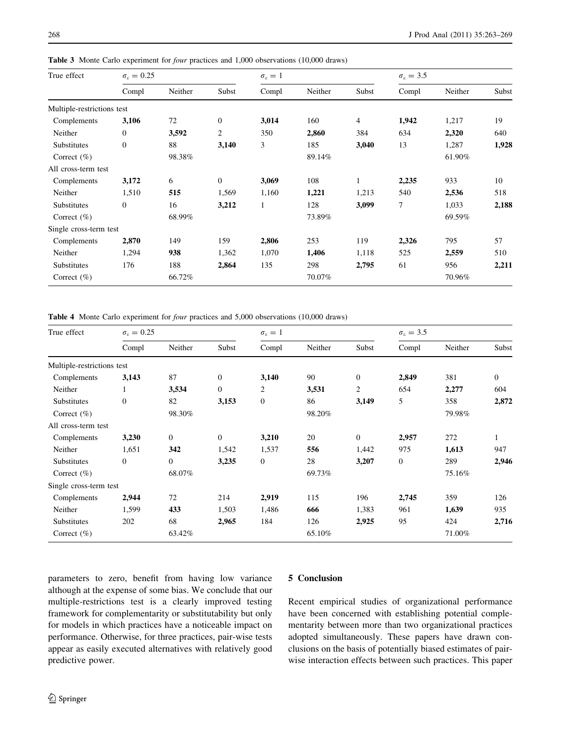| True effect                | $\sigma_{\varepsilon} = 0.25$ |         |                | $\sigma_{\varepsilon}=1$ |         |                | $\sigma_{\rm s}=3.5$ |         |       |
|----------------------------|-------------------------------|---------|----------------|--------------------------|---------|----------------|----------------------|---------|-------|
|                            | Compl                         | Neither | Subst          | Compl                    | Neither | Subst          | Compl                | Neither | Subst |
| Multiple-restrictions test |                               |         |                |                          |         |                |                      |         |       |
| Complements                | 3,106                         | 72      | $\mathbf{0}$   | 3,014                    | 160     | $\overline{4}$ | 1,942                | 1,217   | 19    |
| Neither                    | $\mathbf{0}$                  | 3,592   | $\overline{c}$ | 350                      | 2,860   | 384            | 634                  | 2,320   | 640   |
| Substitutes                | $\mathbf{0}$                  | 88      | 3,140          | 3                        | 185     | 3,040          | 13                   | 1,287   | 1,928 |
| Correct $(\% )$            |                               | 98.38%  |                |                          | 89.14%  |                |                      | 61.90%  |       |
| All cross-term test        |                               |         |                |                          |         |                |                      |         |       |
| Complements                | 3,172                         | 6       | $\overline{0}$ | 3,069                    | 108     | 1              | 2,235                | 933     | 10    |
| Neither                    | 1,510                         | 515     | 1,569          | 1,160                    | 1,221   | 1,213          | 540                  | 2,536   | 518   |
| Substitutes                | $\mathbf{0}$                  | 16      | 3,212          | $\mathbf{1}$             | 128     | 3,099          | $\tau$               | 1,033   | 2,188 |
| Correct $(\% )$            |                               | 68.99%  |                |                          | 73.89%  |                |                      | 69.59%  |       |
| Single cross-term test     |                               |         |                |                          |         |                |                      |         |       |
| Complements                | 2,870                         | 149     | 159            | 2,806                    | 253     | 119            | 2,326                | 795     | 57    |
| Neither                    | 1,294                         | 938     | 1,362          | 1,070                    | 1,406   | 1,118          | 525                  | 2,559   | 510   |
| Substitutes                | 176                           | 188     | 2,864          | 135                      | 298     | 2,795          | 61                   | 956     | 2,211 |
| Correct $(\% )$            |                               | 66.72%  |                |                          | 70.07%  |                |                      | 70.96%  |       |

<span id="page-5-0"></span>Table 3 Monte Carlo experiment for *four* practices and 1,000 observations (10,000 draws)

Table 4 Monte Carlo experiment for four practices and 5,000 observations (10,000 draws)

| True effect                | $\sigma_{\varepsilon}=0.25$ |                |                | $\sigma_{\varepsilon}=1$ |         |                | $\sigma_{\rm s}=3.5$ |         |              |
|----------------------------|-----------------------------|----------------|----------------|--------------------------|---------|----------------|----------------------|---------|--------------|
|                            | Compl                       | Neither        | Subst          | Compl                    | Neither | Subst          | Compl                | Neither | Subst        |
| Multiple-restrictions test |                             |                |                |                          |         |                |                      |         |              |
| Complements                | 3,143                       | 87             | $\overline{0}$ | 3,140                    | 90      | $\overline{0}$ | 2,849                | 381     | $\mathbf{0}$ |
| Neither                    | 1                           | 3,534          | $\overline{0}$ | $\overline{2}$           | 3,531   | $\overline{2}$ | 654                  | 2,277   | 604          |
| Substitutes                | $\boldsymbol{0}$            | 82             | 3,153          | $\boldsymbol{0}$         | 86      | 3,149          | 5                    | 358     | 2,872        |
| Correct $(\% )$            |                             | 98.30%         |                |                          | 98.20%  |                |                      | 79.98%  |              |
| All cross-term test        |                             |                |                |                          |         |                |                      |         |              |
| Complements                | 3,230                       | $\Omega$       | $\overline{0}$ | 3,210                    | 20      | $\Omega$       | 2,957                | 272     |              |
| Neither                    | 1,651                       | 342            | 1,542          | 1,537                    | 556     | 1,442          | 975                  | 1,613   | 947          |
| Substitutes                | $\mathbf{0}$                | $\overline{0}$ | 3,235          | $\boldsymbol{0}$         | 28      | 3,207          | $\mathbf{0}$         | 289     | 2,946        |
| Correct $(\% )$            |                             | 68.07%         |                |                          | 69.73%  |                |                      | 75.16%  |              |
| Single cross-term test     |                             |                |                |                          |         |                |                      |         |              |
| Complements                | 2,944                       | 72             | 214            | 2,919                    | 115     | 196            | 2,745                | 359     | 126          |
| Neither                    | 1,599                       | 433            | 1,503          | 1,486                    | 666     | 1,383          | 961                  | 1,639   | 935          |
| Substitutes                | 202                         | 68             | 2,965          | 184                      | 126     | 2,925          | 95                   | 424     | 2,716        |
| Correct $(\% )$            |                             | 63.42%         |                |                          | 65.10%  |                |                      | 71.00%  |              |

parameters to zero, benefit from having low variance although at the expense of some bias. We conclude that our multiple-restrictions test is a clearly improved testing framework for complementarity or substitutability but only for models in which practices have a noticeable impact on performance. Otherwise, for three practices, pair-wise tests appear as easily executed alternatives with relatively good predictive power.

## 5 Conclusion

Recent empirical studies of organizational performance have been concerned with establishing potential complementarity between more than two organizational practices adopted simultaneously. These papers have drawn conclusions on the basis of potentially biased estimates of pairwise interaction effects between such practices. This paper